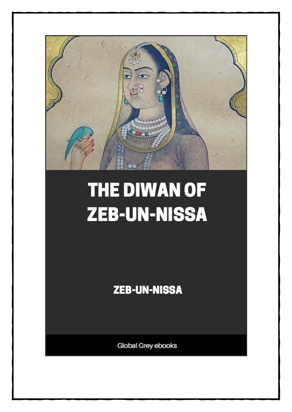

# THE DIWAN OF **ZEB-UN-NISSA**

**ZEB-UN-NISSA** 

Global Grey ebooks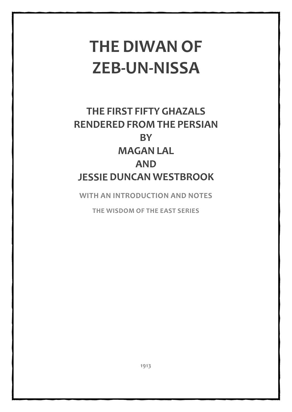## **THE DIWAN OF ZEB-UN-NISSA**

## **THE FIRST FIFTY GHAZALS RENDERED FROM THE PERSIAN BY MAGAN LAL AND JESSIE DUNCAN WESTBROOK**

**WITH AN INTRODUCTION AND NOTES**

**THE WISDOM OF THE EAST SERIES**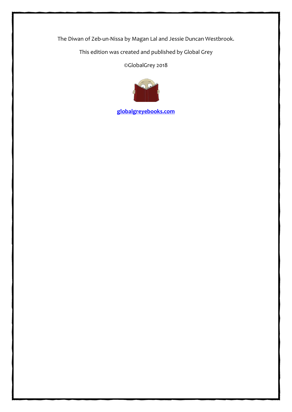The Diwan of Zeb-un-Nissa by Magan Lal and Jessie Duncan Westbrook.

This edition was created and published by Global Grey

©GlobalGrey 2018



**[globalgreyebooks.com](https://www.globalgreyebooks.com/)**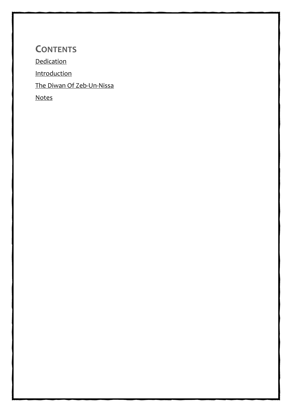### **CONTENTS**

**[Dedication](#page-4-0)** 

[Introduction](#page-5-0)

[The Diwan Of Zeb-Un-Nissa](#page-16-0)

[Notes](#page-60-0)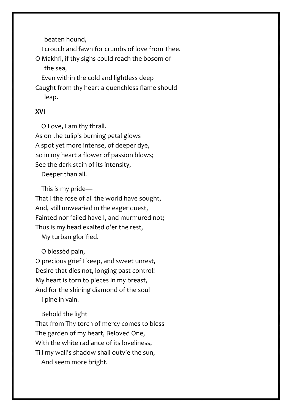beaten hound,

I crouch and fawn for crumbs of love from Thee.

O Makhfi, if thy sighs could reach the bosom of the sea,

Even within the cold and lightless deep

Caught from thy heart a quenchless flame should leap.

#### **XVI**

 O Love, I am thy thrall. As on the tulip's burning petal glows A spot yet more intense, of deeper dye, So in my heart a flower of passion blows; See the dark stain of its intensity,

Deeper than all.

This is my pride—

That I the rose of all the world have sought, And, still unwearied in the eager quest, Fainted nor failed have I, and murmured not; Thus is my head exalted o'er the rest,

My turban glorified.

O blessèd pain,

O precious grief I keep, and sweet unrest, Desire that dies not, longing past control! My heart is torn to pieces in my breast, And for the shining diamond of the soul I pine in vain.

Behold the light

That from Thy torch of mercy comes to bless The garden of my heart, Beloved One, With the white radiance of its loveliness, Till my wall's shadow shall outvie the sun,

And seem more bright.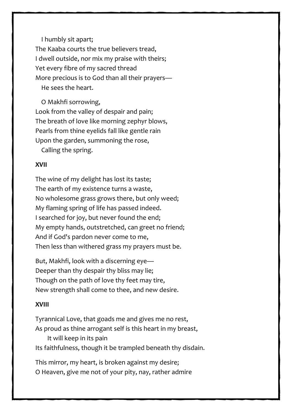I humbly sit apart; The Kaaba courts the true believers tread, I dwell outside, nor mix my praise with theirs; Yet every fibre of my sacred thread More precious is to God than all their prayers— He sees the heart.

 O Makhfi sorrowing, Look from the valley of despair and pain; The breath of love like morning zephyr blows, Pearls from thine eyelids fall like gentle rain Upon the garden, summoning the rose,

Calling the spring.

#### **XVII**

The wine of my delight has lost its taste; The earth of my existence turns a waste, No wholesome grass grows there, but only weed; My flaming spring of life has passed indeed. I searched for joy, but never found the end; My empty hands, outstretched, can greet no friend; And if God's pardon never come to me, Then less than withered grass my prayers must be.

But, Makhfi, look with a discerning eye— Deeper than thy despair thy bliss may lie; Though on the path of love thy feet may tire, New strength shall come to thee, and new desire.

#### **XVIII**

Tyrannical Love, that goads me and gives me no rest, As proud as thine arrogant self is this heart in my breast, It will keep in its pain Its faithfulness, though it be trampled beneath thy disdain.

This mirror, my heart, is broken against my desire; O Heaven, give me not of your pity, nay, rather admire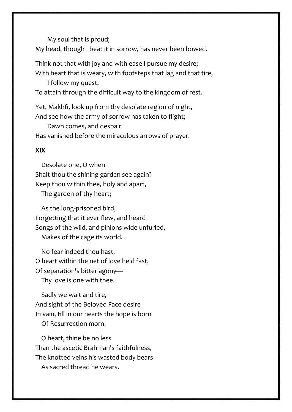My soul that is proud;

My head, though I beat it in sorrow, has never been bowed.

Think not that with joy and with ease I pursue my desire; With heart that is weary, with footsteps that lag and that tire,

I follow my quest,

To attain through the difficult way to the kingdom of rest.

Yet, Makhfi, look up from thy desolate region of night, And see how the army of sorrow has taken to flight;

 Dawn comes, and despair Has vanished before the miraculous arrows of prayer.

#### **XIX**

 Desolate one, O when Shalt thou the shining garden see again? Keep thou within thee, holy and apart, The garden of thy heart;

 As the long-prisoned bird, Forgetting that it ever flew, and heard Songs of the wild, and pinions wide unfurled, Makes of the cage its world.

 No fear indeed thou hast, O heart within the net of love held fast, Of separation's bitter agony— Thy love is one with thee.

 Sadly we wait and tire, And sight of the Belovèd Face desire In vain, till in our hearts the hope is born

Of Resurrection morn.

 O heart, thine be no less Than the ascetic Brahman's faithfulness, The knotted veins his wasted body bears As sacred thread he wears.

29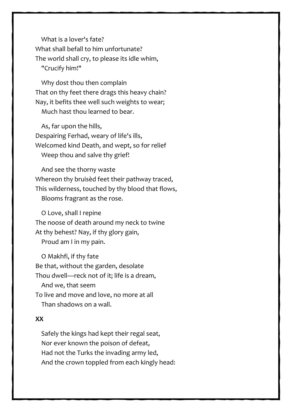What is a lover's fate? What shall befall to him unfortunate? The world shall cry, to please its idle whim, "Crucify him!"

 Why dost thou then complain That on thy feet there drags this heavy chain? Nay, it befits thee well such weights to wear; Much hast thou learned to bear.

 As, far upon the hills, Despairing Ferhad, weary of life's ills, Welcomed kind Death, and wept, so for relief Weep thou and salve thy grief!

 And see the thorny waste Whereon thy bruisèd feet their pathway traced, This wilderness, touched by thy blood that flows, Blooms fragrant as the rose.

 O Love, shall I repine The noose of death around my neck to twine At thy behest? Nay, if thy glory gain, Proud am I in my pain.

 O Makhfi, if thy fate Be that, without the garden, desolate Thou dwell—reck not of it; life is a dream, And we, that seem To live and move and love, no more at all Than shadows on a wall.

#### **XX**

 Safely the kings had kept their regal seat, Nor ever known the poison of defeat, Had not the Turks the invading army led, And the crown toppled from each kingly head: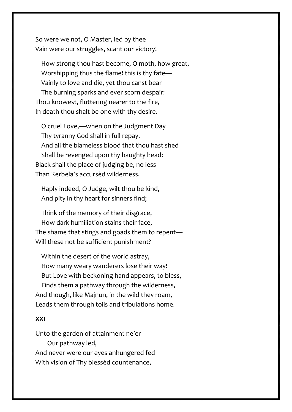So were we not, O Master, led by thee Vain were our struggles, scant our victory!

 How strong thou hast become, O moth, how great, Worshipping thus the flame! this is thy fate— Vainly to love and die, yet thou canst bear The burning sparks and ever scorn despair: Thou knowest, fluttering nearer to the fire, In death thou shalt be one with thy desire.

 O cruel Love,—when on the Judgment Day Thy tyranny God shall in full repay, And all the blameless blood that thou hast shed Shall be revenged upon thy haughty head: Black shall the place of judging be, no less Than Kerbela's accursèd wilderness.

 Haply indeed, O Judge, wilt thou be kind, And pity in thy heart for sinners find;

 Think of the memory of their disgrace, How dark humiliation stains their face, The shame that stings and goads them to repent— Will these not be sufficient punishment?

 Within the desert of the world astray, How many weary wanderers lose their way! But Love with beckoning hand appears, to bless, Finds them a pathway through the wilderness, And though, like Majnun, in the wild they roam, Leads them through toils and tribulations home.

#### **XXI**

Unto the garden of attainment ne'er Our pathway led, And never were our eyes anhungered fed With vision of Thy blessèd countenance,

31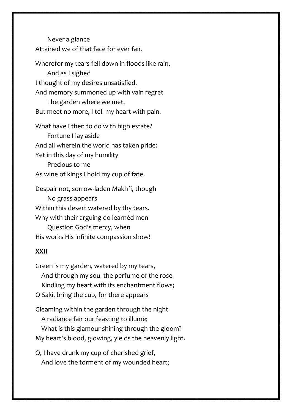Never a glance Attained we of that face for ever fair.

Wherefor my tears fell down in floods like rain, And as I sighed I thought of my desires unsatisfied, And memory summoned up with vain regret The garden where we met, But meet no more, I tell my heart with pain.

What have I then to do with high estate? Fortune I lay aside And all wherein the world has taken pride: Yet in this day of my humility Precious to me As wine of kings I hold my cup of fate.

Despair not, sorrow-laden Makhfi, though No grass appears Within this desert watered by thy tears. Why with their arguing do learnèd men Question God's mercy, when His works His infinite compassion show!

#### **XXII**

Green is my garden, watered by my tears, And through my soul the perfume of the rose Kindling my heart with its enchantment flows; O Saki, bring the cup, for there appears Gleaming within the garden through the night A radiance fair our feasting to illume;

 What is this glamour shining through the gloom? My heart's blood, glowing, yields the heavenly light.

O, I have drunk my cup of cherished grief, And love the torment of my wounded heart;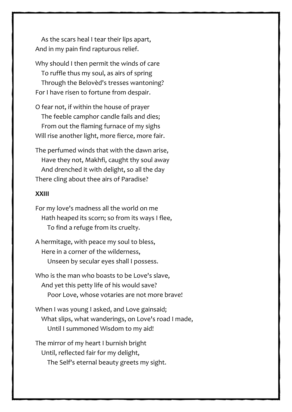As the scars heal I tear their lips apart, And in my pain find rapturous relief.

Why should I then permit the winds of care To ruffle thus my soul, as airs of spring Through the Belovèd's tresses wantoning? For I have risen to fortune from despair.

O fear not, if within the house of prayer The feeble camphor candle fails and dies; From out the flaming furnace of my sighs Will rise another light, more fierce, more fair.

The perfumed winds that with the dawn arise, Have they not, Makhfi, caught thy soul away And drenched it with delight, so all the day There cling about thee airs of Paradise?

#### **XXIII**

- For my love's madness all the world on me Hath heaped its scorn; so from its ways I flee, To find a refuge from its cruelty.
- A hermitage, with peace my soul to bless, Here in a corner of the wilderness, Unseen by secular eyes shall I possess.
- Who is the man who boasts to be Love's slave, And yet this petty life of his would save? Poor Love, whose votaries are not more brave!
- When I was young I asked, and Love gainsaid; What slips, what wanderings, on Love's road I made, Until I summoned Wisdom to my aid!

The mirror of my heart I burnish bright Until, reflected fair for my delight, The Self's eternal beauty greets my sight.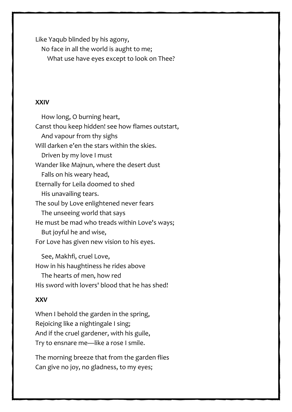Like Yaqub blinded by his agony,

No face in all the world is aught to me;

What use have eyes except to look on Thee?

#### **XXIV**

 How long, O burning heart, Canst thou keep hidden! see how flames outstart, And vapour from thy sighs Will darken e'en the stars within the skies. Driven by my love I must Wander like Majnun, where the desert dust Falls on his weary head, Eternally for Leila doomed to shed His unavailing tears. The soul by Love enlightened never fears The unseeing world that says He must be mad who treads within Love's ways; But joyful he and wise, For Love has given new vision to his eyes.

 See, Makhfi, cruel Love, How in his haughtiness he rides above The hearts of men, how red His sword with lovers' blood that he has shed!

#### **XXV**

When I behold the garden in the spring, Rejoicing like a nightingale I sing; And if the cruel gardener, with his guile, Try to ensnare me—like a rose I smile.

The morning breeze that from the garden flies Can give no joy, no gladness, to my eyes;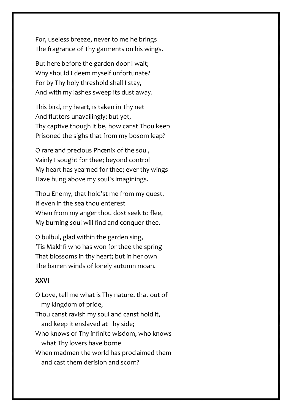For, useless breeze, never to me he brings The fragrance of Thy garments on his wings.

But here before the garden door I wait; Why should I deem myself unfortunate? For by Thy holy threshold shall I stay, And with my lashes sweep its dust away.

This bird, my heart, is taken in Thy net And flutters unavailingly; but yet, Thy captive though it be, how canst Thou keep Prisoned the sighs that from my bosom leap?

O rare and precious Phœnix of the soul, Vainly I sought for thee; beyond control My heart has yearned for thee; ever thy wings Have hung above my soul's imaginings.

Thou Enemy, that hold'st me from my quest, If even in the sea thou enterest When from my anger thou dost seek to flee, My burning soul will find and conquer thee.

O bulbul, glad within the garden sing, 'Tis Makhfi who has won for thee the spring That blossoms in thy heart; but in her own The barren winds of lonely autumn moan.

#### **XXVI**

O Love, tell me what is Thy nature, that out of my kingdom of pride, Thou canst ravish my soul and canst hold it, and keep it enslaved at Thy side; Who knows of Thy infinite wisdom, who knows what Thy lovers have borne When madmen the world has proclaimed them and cast them derision and scorn?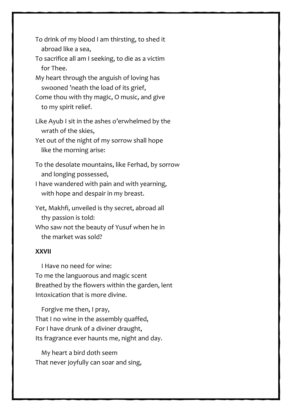- To drink of my blood I am thirsting, to shed it abroad like a sea,
- To sacrifice all am I seeking, to die as a victim for Thee.
- My heart through the anguish of loving has swooned 'neath the load of its grief,
- Come thou with thy magic, O music, and give to my spirit relief.
- Like Ayub I sit in the ashes o'erwhelmed by the wrath of the skies,
- Yet out of the night of my sorrow shall hope like the morning arise:
- To the desolate mountains, like Ferhad, by sorrow and longing possessed,
- I have wandered with pain and with yearning, with hope and despair in my breast.
- Yet, Makhfi, unveiled is thy secret, abroad all thy passion is told:
- Who saw not the beauty of Yusuf when he in the market was sold?

#### **XXVII**

 I Have no need for wine: To me the languorous and magic scent Breathed by the flowers within the garden, lent Intoxication that is more divine.

 Forgive me then, I pray, That I no wine in the assembly quaffed, For I have drunk of a diviner draught, Its fragrance ever haunts me, night and day.

 My heart a bird doth seem That never joyfully can soar and sing,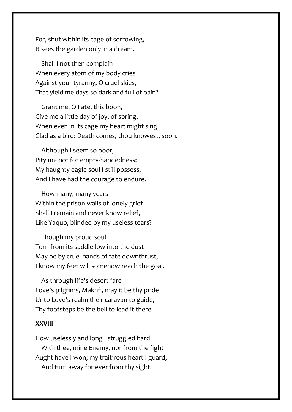For, shut within its cage of sorrowing, It sees the garden only in a dream.

 Shall I not then complain When every atom of my body cries Against your tyranny, O cruel skies, That yield me days so dark and full of pain?

 Grant me, O Fate, this boon, Give me a little day of joy, of spring, When even in its cage my heart might sing Glad as a bird: Death comes, thou knowest, soon.

 Although I seem so poor, Pity me not for empty-handedness; My haughty eagle soul I still possess, And I have had the courage to endure.

 How many, many years Within the prison walls of lonely grief Shall I remain and never know relief, Like Yaqub, blinded by my useless tears?

 Though my proud soul Torn from its saddle low into the dust May be by cruel hands of fate downthrust, I know my feet will somehow reach the goal.

 As through life's desert fare Love's pilgrims, Makhfi, may it be thy pride Unto Love's realm their caravan to guide, Thy footsteps be the bell to lead it there.

#### **XXVIII**

How uselessly and long I struggled hard With thee, mine Enemy, nor from the fight Aught have I won; my trait'rous heart I guard, And turn away for ever from thy sight.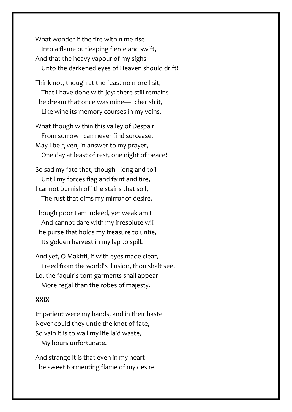What wonder if the fire within me rise Into a flame outleaping fierce and swift, And that the heavy vapour of my sighs Unto the darkened eyes of Heaven should drift!

Think not, though at the feast no more I sit, That I have done with joy: there still remains The dream that once was mine—I cherish it, Like wine its memory courses in my veins.

What though within this valley of Despair From sorrow I can never find surcease, May I be given, in answer to my prayer, One day at least of rest, one night of peace!

So sad my fate that, though I long and toil Until my forces flag and faint and tire, I cannot burnish off the stains that soil, The rust that dims my mirror of desire.

Though poor I am indeed, yet weak am I And cannot dare with my irresolute will The purse that holds my treasure to untie, Its golden harvest in my lap to spill.

And yet, O Makhfi, if with eyes made clear, Freed from the world's illusion, thou shalt see, Lo, the faquir's torn garments shall appear More regal than the robes of majesty.

#### **XXIX**

Impatient were my hands, and in their haste Never could they untie the knot of fate, So vain it is to wail my life laid waste, My hours unfortunate.

And strange it is that even in my heart The sweet tormenting flame of my desire

38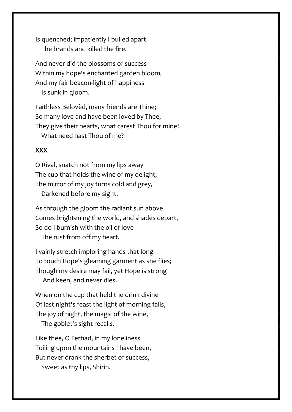Is quenched; impatiently I pulled apart The brands and killed the fire.

And never did the blossoms of success Within my hope's enchanted garden bloom, And my fair beacon-light of happiness Is sunk in gloom.

Faithless Belovèd, many friends are Thine; So many love and have been loved by Thee, They give their hearts, what carest Thou for mine? What need hast Thou of me?

#### **XXX**

O Rival, snatch not from my lips away The cup that holds the wine of my delight; The mirror of my joy turns cold and grey, Darkened before my sight.

As through the gloom the radiant sun above Comes brightening the world, and shades depart, So do I burnish with the oil of love

The rust from off my heart.

I vainly stretch imploring hands that long To touch Hope's gleaming garment as she flies; Though my desire may fail, yet Hope is strong And keen, and never dies.

When on the cup that held the drink divine Of last night's feast the light of morning falls, The joy of night, the magic of the wine,

The goblet's sight recalls.

Like thee, O Ferhad, in my loneliness Toiling upon the mountains I have been, But never drank the sherbet of success, Sweet as thy lips, Shirin.

39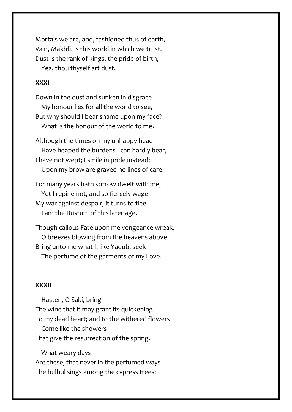Mortals we are, and, fashioned thus of earth, Vain, Makhfi, is this world in which we trust, Dust is the rank of kings, the pride of birth, Yea, thou thyself art dust.

#### **XXXI**

Down in the dust and sunken in disgrace My honour lies for all the world to see, But why should I bear shame upon my face? What is the honour of the world to me?

Although the times on my unhappy head Have heaped the burdens I can hardly bear, I have not wept; I smile in pride instead; Upon my brow are graved no lines of care.

For many years hath sorrow dwelt with me, Yet I repine not, and so fiercely wage My war against despair, it turns to flee— I am the Rustum of this later age.

Though callous Fate upon me vengeance wreak, O breezes blowing from the heavens above Bring unto me what I, like Yaqub, seek— The perfume of the garments of my Love.

#### **XXXII**

 Hasten, O Saki, bring The wine that it may grant its quickening To my dead heart; and to the withered flowers Come like the showers That give the resurrection of the spring.

 What weary days Are these, that never in the perfumed ways The bulbul sings among the cypress trees;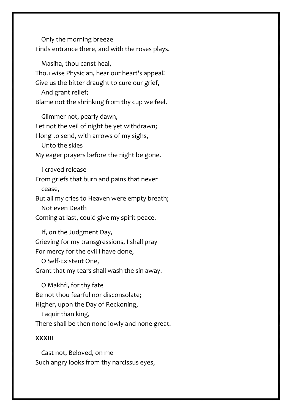Only the morning breeze Finds entrance there, and with the roses plays.

 Masiha, thou canst heal, Thou wise Physician, hear our heart's appeal! Give us the bitter draught to cure our grief, And grant relief; Blame not the shrinking from thy cup we feel.

 Glimmer not, pearly dawn, Let not the veil of night be yet withdrawn; I long to send, with arrows of my sighs, Unto the skies My eager prayers before the night be gone.

I craved release

From griefs that burn and pains that never cease,

But all my cries to Heaven were empty breath; Not even Death

Coming at last, could give my spirit peace.

 If, on the Judgment Day, Grieving for my transgressions, I shall pray For mercy for the evil I have done,

 O Self-Existent One, Grant that my tears shall wash the sin away.

 O Makhfi, for thy fate Be not thou fearful nor disconsolate; Higher, upon the Day of Reckoning, Faquir than king, There shall be then none lowly and none great.

#### **XXXIII**

 Cast not, Beloved, on me Such angry looks from thy narcissus eyes,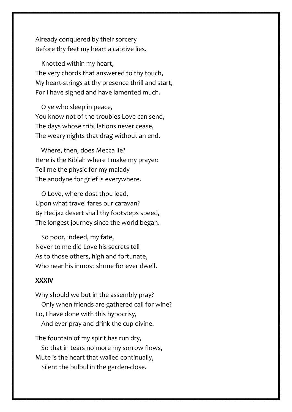Already conquered by their sorcery Before thy feet my heart a captive lies.

 Knotted within my heart, The very chords that answered to thy touch, My heart-strings at thy presence thrill and start, For I have sighed and have lamented much.

 O ye who sleep in peace, You know not of the troubles Love can send, The days whose tribulations never cease, The weary nights that drag without an end.

 Where, then, does Mecca lie? Here is the Kiblah where I make my prayer: Tell me the physic for my malady— The anodyne for grief is everywhere.

 O Love, where dost thou lead, Upon what travel fares our caravan? By Hedjaz desert shall thy footsteps speed, The longest journey since the world began.

 So poor, indeed, my fate, Never to me did Love his secrets tell As to those others, high and fortunate, Who near his inmost shrine for ever dwell.

#### **XXXIV**

Why should we but in the assembly pray? Only when friends are gathered call for wine? Lo, I have done with this hypocrisy, And ever pray and drink the cup divine.

The fountain of my spirit has run dry, So that in tears no more my sorrow flows, Mute is the heart that wailed continually, Silent the bulbul in the garden-close.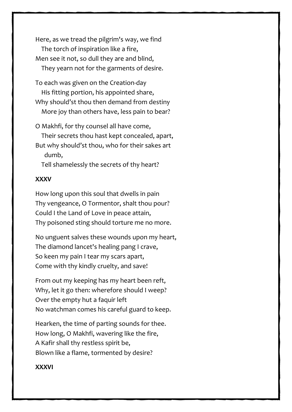Here, as we tread the pilgrim's way, we find The torch of inspiration like a fire, Men see it not, so dull they are and blind, They yearn not for the garments of desire.

To each was given on the Creation-day His fitting portion, his appointed share,

Why should'st thou then demand from destiny More joy than others have, less pain to bear?

O Makhfi, for thy counsel all have come, Their secrets thou hast kept concealed, apart,

But why should'st thou, who for their sakes art dumb,

Tell shamelessly the secrets of thy heart?

#### **XXXV**

How long upon this soul that dwells in pain Thy vengeance, O Tormentor, shalt thou pour? Could I the Land of Love in peace attain, Thy poisoned sting should torture me no more.

No unguent salves these wounds upon my heart, The diamond lancet's healing pang I crave, So keen my pain I tear my scars apart, Come with thy kindly cruelty, and save!

From out my keeping has my heart been reft, Why, let it go then: wherefore should I weep? Over the empty hut a faquir left No watchman comes his careful guard to keep.

Hearken, the time of parting sounds for thee. How long, O Makhfi, wavering like the fire, A Kafir shall thy restless spirit be, Blown like a flame, tormented by desire?

#### **XXXVI**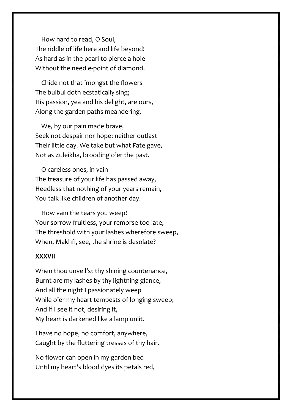How hard to read, O Soul, The riddle of life here and life beyond! As hard as in the pearl to pierce a hole Without the needle-point of diamond.

 Chide not that 'mongst the flowers The bulbul doth ecstatically sing; His passion, yea and his delight, are ours, Along the garden paths meandering.

 We, by our pain made brave, Seek not despair nor hope; neither outlast Their little day. We take but what Fate gave, Not as Zuleikha, brooding o'er the past.

 O careless ones, in vain The treasure of your life has passed away, Heedless that nothing of your years remain, You talk like children of another day.

 How vain the tears you weep! Your sorrow fruitless, your remorse too late; The threshold with your lashes wherefore sweep, When, Makhfi, see, the shrine is desolate?

#### **XXXVII**

When thou unveil'st thy shining countenance, Burnt are my lashes by thy lightning glance, And all the night I passionately weep While o'er my heart tempests of longing sweep; And if I see it not, desiring it, My heart is darkened like a lamp unlit.

I have no hope, no comfort, anywhere, Caught by the fluttering tresses of thy hair.

No flower can open in my garden bed Until my heart's blood dyes its petals red,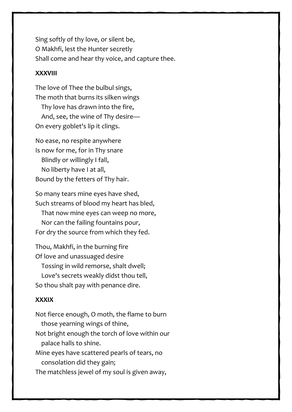Sing softly of thy love, or silent be, O Makhfi, lest the Hunter secretly Shall come and hear thy voice, and capture thee.

#### **XXXVIII**

The love of Thee the bulbul sings, The moth that burns its silken wings Thy love has drawn into the fire, And, see, the wine of Thy desire— On every goblet's lip it clings.

No ease, no respite anywhere Is now for me, for in Thy snare Blindly or willingly I fall, No liberty have I at all, Bound by the fetters of Thy hair.

So many tears mine eyes have shed, Such streams of blood my heart has bled, That now mine eyes can weep no more, Nor can the failing fountains pour, For dry the source from which they fed.

Thou, Makhfi, in the burning fire Of love and unassuaged desire Tossing in wild remorse, shalt dwell; Love's secrets weakly didst thou tell, So thou shalt pay with penance dire.

#### **XXXIX**

Not fierce enough, O moth, the flame to burn those yearning wings of thine, Not bright enough the torch of love within our palace halls to shine. Mine eyes have scattered pearls of tears, no consolation did they gain; The matchless jewel of my soul is given away,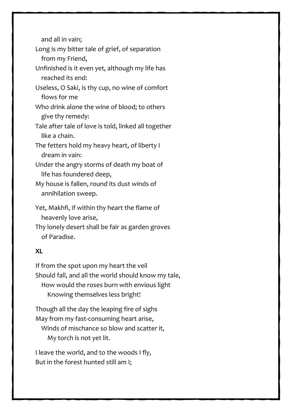and all in vain;

Long is my bitter tale of grief, of separation from my Friend,

Unfinished is it even yet, although my life has reached its end:

Useless, O Saki, is thy cup, no wine of comfort flows for me

Who drink alone the wine of blood; to others give thy remedy:

Tale after tale of love is told, linked all together like a chain.

The fetters hold my heavy heart, of liberty I dream in vain:

Under the angry storms of death my boat of life has foundered deep,

My house is fallen, round its dust winds of annihilation sweep.

Yet, Makhfi, if within thy heart the flame of heavenly love arise,

Thy lonely desert shall be fair as garden groves of Paradise.

#### **XL**

If from the spot upon my heart the veil Should fall, and all the world should know my tale, How would the roses burn with envious light Knowing themselves less bright!

Though all the day the leaping fire of sighs May from my fast-consuming heart arise, Winds of mischance so blow and scatter it, My torch is not yet lit.

I leave the world, and to the woods I fly, But in the forest hunted still am I;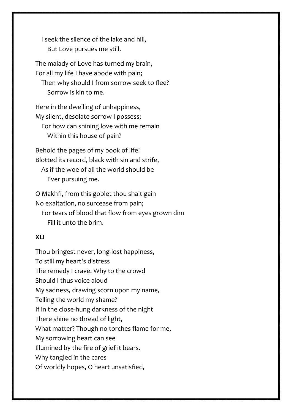I seek the silence of the lake and hill, But Love pursues me still.

The malady of Love has turned my brain, For all my life I have abode with pain; Then why should I from sorrow seek to flee? Sorrow is kin to me.

Here in the dwelling of unhappiness, My silent, desolate sorrow I possess; For how can shining love with me remain Within this house of pain?

Behold the pages of my book of life! Blotted its record, black with sin and strife, As if the woe of all the world should be Ever pursuing me.

O Makhfi, from this goblet thou shalt gain No exaltation, no surcease from pain; For tears of blood that flow from eyes grown dim Fill it unto the brim.

#### **XLI**

Thou bringest never, long-lost happiness, To still my heart's distress The remedy I crave. Why to the crowd Should I thus voice aloud My sadness, drawing scorn upon my name, Telling the world my shame? If in the close-hung darkness of the night There shine no thread of light, What matter? Though no torches flame for me, My sorrowing heart can see Illumined by the fire of grief it bears. Why tangled in the cares Of worldly hopes, O heart unsatisfied,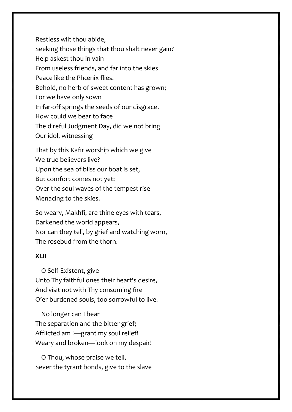Restless wilt thou abide, Seeking those things that thou shalt never gain? Help askest thou in vain From useless friends, and far into the skies Peace like the Phœnix flies. Behold, no herb of sweet content has grown; For we have only sown In far-off springs the seeds of our disgrace. How could we bear to face The direful Judgment Day, did we not bring Our idol, witnessing That by this Kafir worship which we give

We true believers live? Upon the sea of bliss our boat is set, But comfort comes not yet; Over the soul waves of the tempest rise Menacing to the skies.

So weary, Makhfi, are thine eyes with tears, Darkened the world appears, Nor can they tell, by grief and watching worn, The rosebud from the thorn.

#### **XLII**

 O Self-Existent, give Unto Thy faithful ones their heart's desire, And visit not with Thy consuming fire O'er-burdened souls, too sorrowful to live.

 No longer can I bear The separation and the bitter grief; Afflicted am I—grant my soul relief! Weary and broken—look on my despair!

 O Thou, whose praise we tell, Sever the tyrant bonds, give to the slave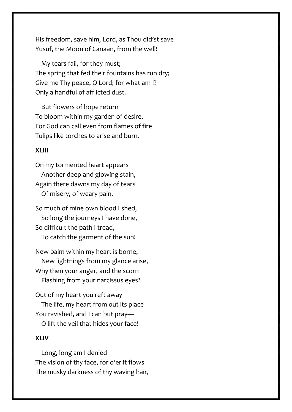His freedom, save him, Lord, as Thou did'st save Yusuf, the Moon of Canaan, from the well!

 My tears fail, for they must; The spring that fed their fountains has run dry; Give me Thy peace, O Lord; for what am I? Only a handful of afflicted dust.

 But flowers of hope return To bloom within my garden of desire, For God can call even from flames of fire Tulips like torches to arise and burn.

#### **XLIII**

On my tormented heart appears Another deep and glowing stain, Again there dawns my day of tears Of misery, of weary pain.

So much of mine own blood I shed, So long the journeys I have done, So difficult the path I tread, To catch the garment of the sun!

New balm within my heart is borne, New lightnings from my glance arise, Why then your anger, and the scorn Flashing from your narcissus eyes?

Out of my heart you reft away The life, my heart from out its place You ravished, and I can but pray— O lift the veil that hides your face!

#### **XLIV**

 Long, long am I denied The vision of thy face, for o'er it flows The musky darkness of thy waving hair,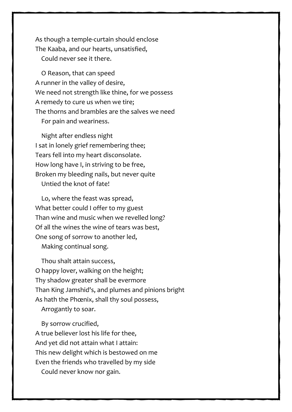As though a temple-curtain should enclose The Kaaba, and our hearts, unsatisfied, Could never see it there.

 O Reason, that can speed A runner in the valley of desire, We need not strength like thine, for we possess A remedy to cure us when we tire; The thorns and brambles are the salves we need For pain and weariness.

 Night after endless night I sat in lonely grief remembering thee; Tears fell into my heart disconsolate. How long have I, in striving to be free, Broken my bleeding nails, but never quite Untied the knot of fate!

 Lo, where the feast was spread, What better could I offer to my guest Than wine and music when we revelled long? Of all the wines the wine of tears was best, One song of sorrow to another led, Making continual song.

 Thou shalt attain success, O happy lover, walking on the height; Thy shadow greater shall be evermore Than King Jamshid's, and plumes and pinions bright As hath the Phœnix, shall thy soul possess, Arrogantly to soar.

 By sorrow crucified, A true believer lost his life for thee, And yet did not attain what I attain: This new delight which is bestowed on me Even the friends who travelled by my side Could never know nor gain.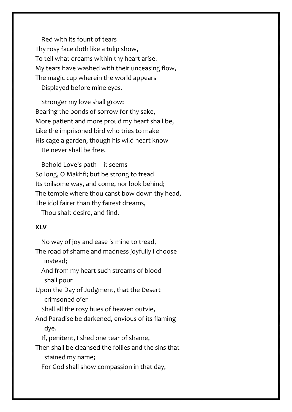Red with its fount of tears Thy rosy face doth like a tulip show, To tell what dreams within thy heart arise. My tears have washed with their unceasing flow, The magic cup wherein the world appears Displayed before mine eyes.

 Stronger my love shall grow: Bearing the bonds of sorrow for thy sake, More patient and more proud my heart shall be, Like the imprisoned bird who tries to make His cage a garden, though his wild heart know He never shall be free.

 Behold Love's path—it seems So long, O Makhfi; but be strong to tread Its toilsome way, and come, nor look behind; The temple where thou canst bow down thy head, The idol fairer than thy fairest dreams,

Thou shalt desire, and find.

#### **XLV**

 No way of joy and ease is mine to tread, The road of shame and madness joyfully I choose instead; And from my heart such streams of blood shall pour Upon the Day of Judgment, that the Desert crimsoned o'er Shall all the rosy hues of heaven outvie, And Paradise be darkened, envious of its flaming dye. If, penitent, I shed one tear of shame, Then shall be cleansed the follies and the sins that stained my name; For God shall show compassion in that day,